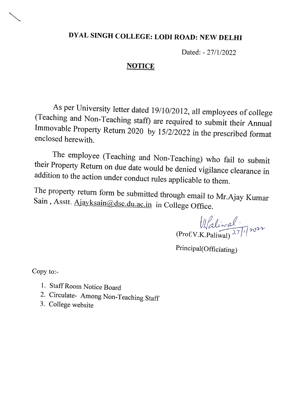## DYAL SINGH COLLEGE: LODI ROAD: NEW DELHI

Dated: 27/1/2022

## **NOTICE**

As per University letter dated 19/10/2012, all employees of college<br>(Teaching and Non-Teaching staff) are required to submit their Annual<br>Immovable Property Return 2020 by 15/2/2022 in the prescribed format<br>enclosed herewi

The employee (Teaching and Non-Teaching) who fail to submit their Property Return on due date would be denied vigilance clearance in addition to the action under conduct rules applicable to them.

The property return form be submitted through email to Mr.Ajay Kumar Sain, Asstt. Ajayksain@dsc.du.ac.in in College Office.

 $\frac{1}{\sqrt{2}}$ (Prof.V.K.Paliwal)<sup>27/1</sup>2022

Principal(Officiating)

Copy to:-

- 1. Staff Room Notice Board
- 2. Circulate- Among Non-Teaching Staff
- 3. College website